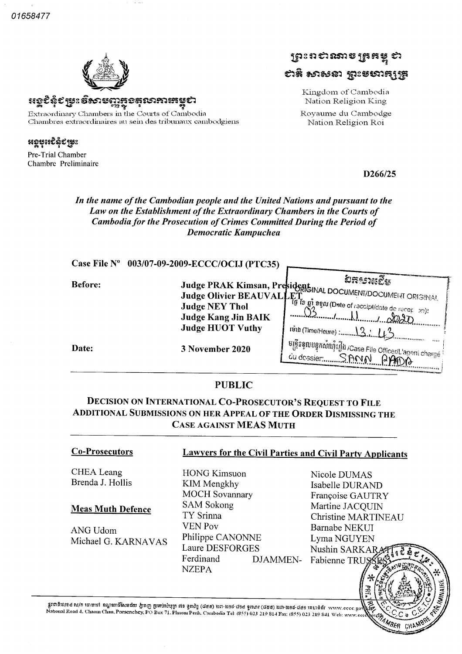01658477



 $\ast$ වෙදිදැනි මිහාසගා **ಲಿ**ನಬಾಗು;ನಟ Extraordinary Chambers in the Courts of Cambodia Chambres extraordinaires au sein des tribunaux cambodgiens

«se®îꜣî©s AS

Pre-Trial Chamber Chambre Preliminaire



Kingdom of Cambodia Nation Religion King Royaume du Cambodge Nation Religion Roi

D<sub>266</sub>/25

#### In the name of the Cambodian people and the United Nations and pursuant to the Law on the Establishment of the Extraordinary Chambers in the Courts of Cambodia for the Prosecution of Crimes Committed During the Period of Democratic Kampuchea

|                | Case File Nº 003/07-09-2009-ECCC/OCIJ (PTC35)         |                                                                                                                                                |
|----------------|-------------------------------------------------------|------------------------------------------------------------------------------------------------------------------------------------------------|
| <b>Before:</b> | <b>Judge Kang Jin BAIK</b><br><b>Judge HUOT Vuthy</b> | ทะจะหรัง<br>Judge PRAK Kimsan, President DOCUMENT/DOCUMENT ORIGINAL<br>Judge Olivier BEAUVALLET is an agen (Date of receipt/date de recet on): |
| Date:          | 3 November 2020                                       | ្រមន្ត្រីទទួលបន្ទុកសំណុំរឿង /Case File Officer/L'agent chargé <sup>i</sup><br>du dossier                                                       |

#### PUBLIC

## Decision on International Co Prosecutor's Request to File Additional Submissions on her Appeal of the Order Dismissing the Case against MEAS Muth

CHEA Leang Brenda J. Hollis

#### Meas Muth Defence

ANG Udom Michael G. KARNAVAS

#### Co Prosecutors Lawyers for the Civil Parties and Civil Party Applicants

HONG Kimsuon KIM Mengkhy MOCH Sovannary SAM Sokong TY Srinna VEN Pov Philippe CANONNE Laure DESFORGES Ferdinand NZEPA

Nicole DUMAS Isabelle DURAND Françoise GAUTRY Martine JACQUIN Christine MARTINEAU Barnabe NEKUI Lyma NGUYEN Nushin SARKAI  $\equiv$ DJAMMEN- Fabienne TRU

•~

**FILE AND STREET** 

CH.

gtchhuise ti/n maral syntmätusdur man patmitit ri9 gnig (dee) am bet dee gmnt (dee) am ast des minènt www.eccc.govkk National Road 4. Chaom Chau, Porsenchey, PO Box 71, Phnom Penh, Cambodia Tel: (855) 023 219 814 Fax: (855) 023 219 841 Web: www.eccc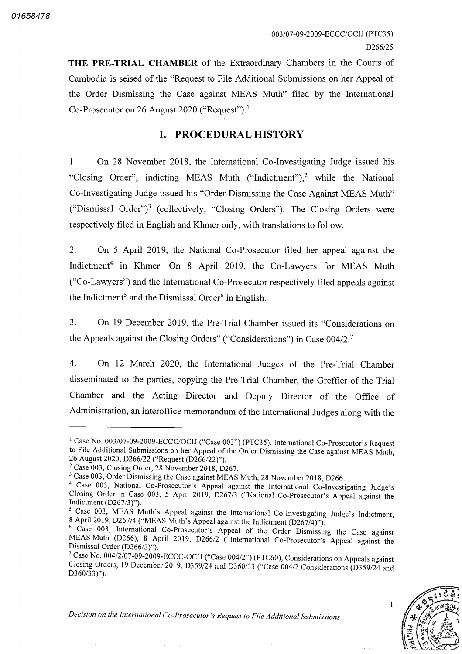THE PRE-TRIAL CHAMBER of the Extraordinary Chambers in the Courts of Cambodia is seised of the "Request to File Additional Submissions on her Appeal of the Order Dismissing the Case against MEAS Muth" filed by the International Co-Prosecutor on 26 August 2020 ("Request").<sup>1</sup>

# I. PROCEDURAL HISTORY

On 28 November 2018, the International Co-Investigating Judge issued his 1. "Closing Order", indicting MEAS Muth ("Indictment"),<sup>2</sup> while the National Co-Investigating Judge issued his "Order Dismissing the Case Against MEAS Muth" ("Dismissal Order")<sup>3</sup> (collectively, "Closing Orders"). The Closing Orders were respectively filed in English and Khmer only, with translations to follow.

 $\overline{2}$ . On 5 April 2019, the National Co-Prosecutor filed her appeal against the Indictment<sup>4</sup> in Khmer. On 8 April 2019, the Co-Lawyers for MEAS Muth ("Co-Lawyers") and the International Co-Prosecutor respectively filed appeals against the Indictment<sup>5</sup> and the Dismissal Order<sup>6</sup> in English.

 $3<sub>1</sub>$ On 19 December 2019, the Pre-Trial Chamber issued its "Considerations on the Appeals against the Closing Orders" ("Considerations") in Case 004/2.<sup>7</sup>

On 12 March 2020, the International Judges of the Pre-Trial Chamber  $4.$ disseminated to the parties, copying the Pre-Trial Chamber, the Greffier of the Trial Chamber and the Acting Director and Deputy Director of the Office of Administration, an interoffice memorandum of the International Judges along with the

 $\frac{1}{2}$  Case No. 004/2/07-09-2009-ECCC-OCIJ ("Case 004/2") (PTC60), Considerations on Appeals against 19 December 2019, D359/24 and D360/33 ("Case 004/2 Considerations (D359/24 and  $19$  December 2019, D359/24 and D360/33 ("Case 004/2 Considerations (D359/24 and  $D360/33)$ ").



 $\mathbf{1}$ 

<sup>&</sup>lt;sup>1</sup> Case No. 003/07-09-2009-ECCC/OCIJ ("Case 003") (PTC35), International Co-Prosecutor's Request to File Additional Submissions on her Appeal of the Order Dismissing the Case against MEAS Muth 26 August 2020, D266/22 ("Request (D266/22)").

 $2$  Case 003, Closing Order, 28 November 2018, D267.

<sup>&</sup>lt;sup>3</sup> Case 003, Order Dismissing the Case against MEAS Muth, 28 November 2018, D266.

<sup>&</sup>lt;sup>4</sup> Case 003, National Co-Prosecutor's Appeal against the International Co-Investigating Judge's Closing Order in Case 003, 5 April 2019, D267/3 ("National Co-Prosecutor's Appeal against the Indictment  $(D267/3)$ ").

<sup>&</sup>lt;sup>5</sup> Case 003, MEAS Muth's Appeal against the International Co-Investigating Judge's Indictment, 8 April 2019, D267/4 ("MEAS Muth's Appeal against the Indictment (D267/4)").

<sup>&</sup>lt;sup>6</sup> Case 003, International Co-Prosecutor's Appeal of the Order Dismissing the Case against MEAS Muth (D266), 8 April 2019, D266/2 ("International Co-Prosecutor's Appeal against the Dismissal Order (D266/2)").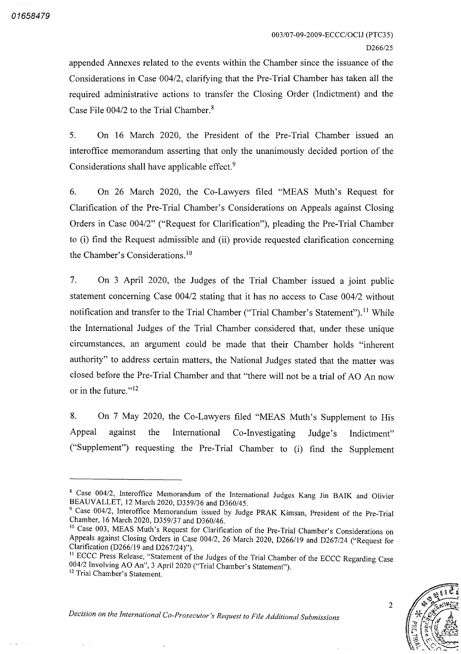appended Annexes related to the events within the Chamber since the issuance of the Considerations in Case  $004/2$ , clarifying that the Pre-Trial Chamber has taken all the required administrative actions to transfer the Closing Order (Indictment) and the Case File  $004/2$  to the Trial Chamber.<sup>8</sup>

 $5<sub>1</sub>$ On 16 March 2020, the President of the Pre-Trial Chamber issued an interoffice memorandum asserting that only the unanimously decided portion of the Considerations shall have applicable effect.<sup>9</sup>

6. On 26 March 2020, the Co-Lawyers filed "MEAS Muth's Request for Clarification of the Pre Trial Chamber's Considerations on Appeals against Closing Orders in Case 004/2" ("Request for Clarification"), pleading the Pre-Trial Chamber to (i) find the Request admissible and (ii) provide requested clarification concerning the Chamber's Considerations 10

 $7<sub>1</sub>$ On 3 April 2020, the Judges of the Trial Chamber issued a joint public statement concerning Case  $004/2$  stating that it has no access to Case  $004/2$  without notification and transfer to the Trial Chamber ("Trial Chamber's Statement").<sup>11</sup> While the International Judges of the Trial Chamber considered that, under these unique circumstances, an argument could be made that their Chamber holds "inherent authority" to address certain matters, the National Judges stated that the matter was closed before the Pre-Trial Chamber and that "there will not be a trial of AO An now or in the future."<sup>12</sup>

On 7 May 2020, the Co-Lawyers filed "MEAS Muth's Supplement to His 8. Appeal against the International Co-Investigating Judge's Indictment" ("Supplement") requesting the Pre-Trial Chamber to (i) find the Supplement

<sup>&</sup>lt;sup>11</sup> ECCC Press Release, "Statement of the Judges of the Trial Chamber of the ECCC Regarding Case 004/2 Involving AO An", 3 April 2020 ("Trial Chamber's Statement"). <sup>12</sup> Trial Chamber's Statement.



 $\overline{2}$ 

<sup>&</sup>lt;sup>8</sup> Case 004/2, Interoffice Memorandum of the International Judges Kang Jin BAIK and Olivier BEAUVALLET, 12 March 2020, D359/36 and D360/45.

<sup>&</sup>lt;sup>9</sup> Case 004/2, Interoffice Memorandum issued by Judge PRAK Kimsan, President of the Pre-Trial Chamber, 16 March 2020, D359/37 and D360/46.

<sup>&</sup>lt;sup>10</sup> Case 003, MEAS Muth's Request for Clarification of the Pre-Trial Chamber's Considerations on Appeals against Closing Orders in Case 004/2, 26 March 2020, D266/19 and D267/24 ("Request for Clarification ( $D266/19$  and  $D267/24$ )").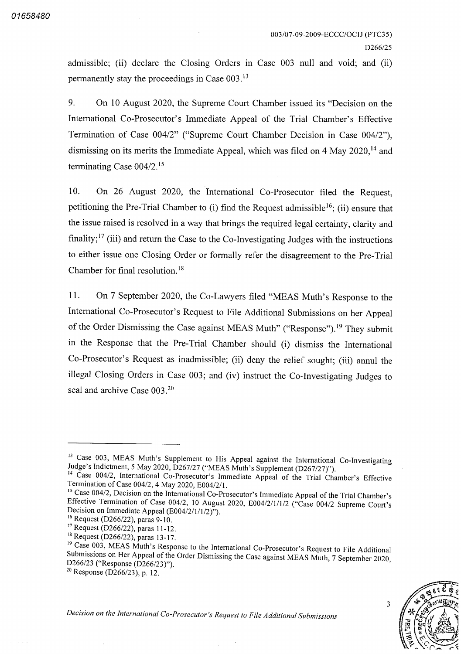admissible; (ii) declare the Closing Orders in Case  $003$  null and void; and (ii) permanently stay the proceedings in Case 003 13

9. On 10 August 2020, the Supreme Court Chamber issued its "Decision on the International Co Prosecutor's Immediate Appeal of the Trial Chamber's Effective Termination of Case 004/2" ("Supreme Court Chamber Decision in Case 004/2"), dismissing on its merits the Immediate Appeal, which was filed on 4 May 2020,<sup>14</sup> and terminating Case 004/2.<sup>15</sup>

On 26 August 2020, the International Co-Prosecutor filed the Request, petitioning the Pre-Trial Chamber to  $(i)$  find the Request admissible<sup>16</sup>; (ii) ensure that the issue raised is resolved in a way that brings the required legal certainty, clarity and finality;<sup>17</sup> (iii) and return the Case to the Co-Investigating Judges with the instructions to either issue one Closing Order or formally refer the disagreement to the Pre Trial Chamber for final resolution 18 10

11. On 7 September 2020, the Co-Lawyers filed "MEAS Muth's Response to the International Co Prosecutor's Request to File Additional Submissions on her Appeal of the Order Dismissing the Case against MEAS Muth" ("Response").<sup>19</sup> They submit in the Response that the Pre-Trial Chamber should (i) dismiss the International Co-Prosecutor's Request as inadmissible; (ii) deny the relief sought; (iii) annul the illegal Closing Orders in Case 003; and (iv) instruct the Co-Investigating Judges to seal and archive Case 003.<sup>20</sup>

<sup>20</sup> Response (D266/23), p. 12.



3

<sup>&</sup>lt;sup>13</sup> Case 003, MEAS Muth's Supplement to His Appeal against the International Co-Investigating Judge's Indictment, 5 May 2020, D267/27 ("MEAS Muth's Supplement (D267/27)").

<sup>&</sup>lt;sup>14</sup> Case 004/2, International Co-Prosecutor's Immediate Appeal of the Trial Chamber's Effective Termination of Case 004/2, 4 May 2020, E004/2/1.

<sup>&</sup>lt;sup>15</sup> Case 004/2, Decision on the International Co-Prosecutor's Immediate Appeal of the Trial Chamber's Effective Termination of Case 004/2, 10 August 2020, E004/2/1/1/2 ("Case 004/2 Supreme Court's Decision on Immediate Appeal  $(E004/2/1/1/2)$ ").

 $^{16}$  Request (D266/22), paras 9-10.

 $17 \text{ Request}$  (D266/22), paras 11-12.

<sup>&</sup>lt;sup>18</sup> Request (D266/22), paras 13-17.

<sup>&</sup>lt;sup>19</sup> Case 003, MEAS Muth's Response to the International Co-Prosecutor's Request to File Additional Submissions on Her Appeal of the Order Dismissing the Case against MEAS Muth, 7 September 2020, D266/23 ("Response (D266/23)").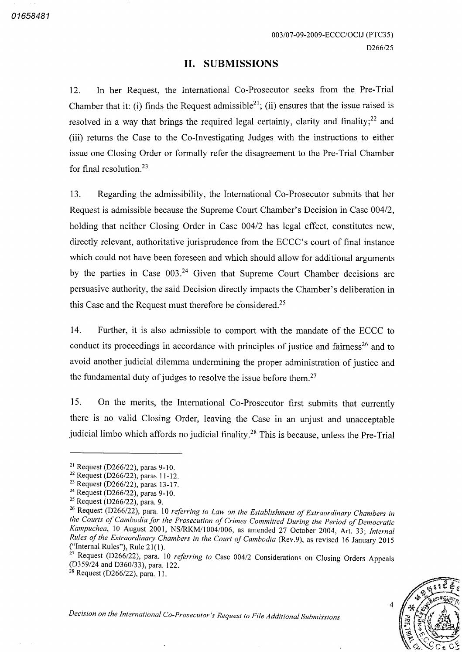#### II. SUBMISSIONS

In her Request, the International Co-Prosecutor seeks from the Pre-Trial Chamber that it: (i) finds the Request admissible<sup>21</sup>; (ii) ensures that the issue raised is resolved in a way that brings the required legal certainty, clarity and finality; $^{22}$  and (iii) returns the Case to the Co-Investigating Judges with the instructions to either issue one Closing Order or formally refer the disagreement to the Pre Trial Chamber for final resolution.<sup>23</sup> 12

Regarding the admissibility, the International Co-Prosecutor submits that her Request is admissible because the Supreme Court Chamber's Decision in Case 004 holding that neither Closing Order in Case 004/2 has legal effect, constitutes new, directly relevant, authoritative jurisprudence from the ECCC's court of final instance which could not have been foreseen and which should allow for additional arguments by the parties in Case 003.<sup>24</sup> Given that Supreme Court Chamber decisions are persuasive authority, the said Decision directly impacts the Chamber's deliberation in this Case and the Request must therefore be considered.<sup>25</sup> 13

Further, it is also admissible to comport with the mandate of the ECCC to conduct its proceedings in accordance with principles of justice and fairness<sup>26</sup> and to avoid another judicial dilemma undermining the proper administration of justice and the fundamental duty of judges to resolve the issue before them.<sup>27</sup> 14

On the merits, the International Co-Prosecutor first submits that currently there is no valid Closing Order, leaving the Case in an unjust and unacceptable judicial limbo which affords no judicial finality.<sup>28</sup> This is because, unless the Pre-Trial 15



<sup>&</sup>lt;sup>21</sup> Request (D266/22), paras 9-10.

<sup>&</sup>lt;sup>22</sup> Request (D266/22), paras 11-12.

 $^{23}$  Request (D266/22), paras 13-17.

 $^{24}$  Request (D266/22), paras 9-10.

 $\frac{25}{2}$  Request (D266/22), para.

<sup>&</sup>lt;sup>26</sup> Request (D266/22), para. 10 referring to Law on the Establishment of Extraordinary Chambers in the Courts of Cambodia for the Prosecution of Crimes Committed During the Period of Democratic Kampuchea, 10 August 2001, NS/RKM/1004/006, as amended 27 October 2004, Art. 33; Internal Rules of the Extraordinary Chambers in the Court of Cambodia (Rev.9), as revised 16 January 2015 ("Internal Rules"), Rule  $21(1)$ .

<sup>&</sup>lt;sup>27</sup> Request (D266/22), para. 10 *referring to* Case 004/2 Considerations on Closing Orders Appeals  $(D359/24$  and  $D360/33)$ , para. 122.

<sup>&</sup>lt;sup>28</sup> Request (D266/22), para. 11.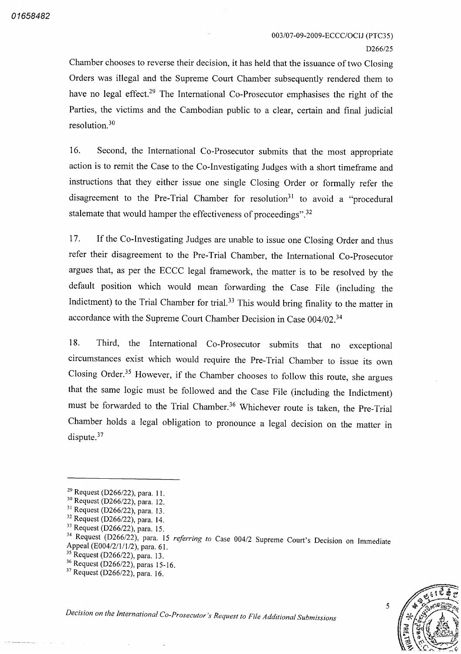003/07-09-2009-ECCC/OCIJ (PTC35) D<sub>266</sub>/25

Chamber chooses to reverse their decision it has held that the issuance of two Closing Orders was illegal and the Supreme Court Chamber subsequently rendered them to have no legal effect.<sup>29</sup> The International Co-Prosecutor emphasises the right of the Parties, the victims and the Cambodian public to a clear, certain and final judicial resolution 30

16. Second, the International Co-Prosecutor submits that the most appropriate action is to remit the Case to the Co-Investigating Judges with a short timeframe and instructions that they either issue one single Closing Order or formally refer the disagreement to the Pre-Trial Chamber for resolution<sup>31</sup> to avoid a "procedural" stalemate that would hamper the effectiveness of proceedings".<sup>32</sup>

If the Co-Investigating Judges are unable to issue one Closing Order and thus refer their disagreement to the Pre-Trial Chamber, the International Co-Prosecutor 17 argues that, as per the ECCC legal framework, the matter is to be resolved by the default position which would mean forwarding the Case File (including the Indictment) to the Trial Chamber for trial.<sup>33</sup> This would bring finality to the matter in accordance with the Supreme Court Chamber Decision in Case 004/02.<sup>34</sup>

18. Third, the International Co-Prosecutor submits that no exceptional circumstances exist which would require the Pre Trial Chamber to issue its own Closing Order.<sup>35</sup> However, if the Chamber chooses to follow this route, she argues that the same logic must be followed and the Case File (including the Indictment) must be forwarded to the Trial Chamber.<sup>36</sup> Whichever route is taken, the Pre-Trial Chamber holds a legal obligation to pronounce a legal decision on the matter in dispute.<sup>37</sup>

 $^{36}$  Request (D266/22), paras 15-16.



 $^{29}$  Request (D266/22), para. 11.

 $30^{30}$  Request (D266/22), para. 12.

 $31$  Request (D266/22), para. 13.

 $32$  Request (D266/22), para. 14.

 $^{33}$  Request (D266/22), para. 15.

<sup>&</sup>lt;sup>34</sup> Request (D266/22), para. 15 *referring to* Case 004/2 Supreme Court's Decision on Immediate Appeal (E004/2/1/1/2), para. 61.

 $\frac{35}{25}$  Request (D266/22), para. 13.

 $37$  Request (D266/22), para. 16.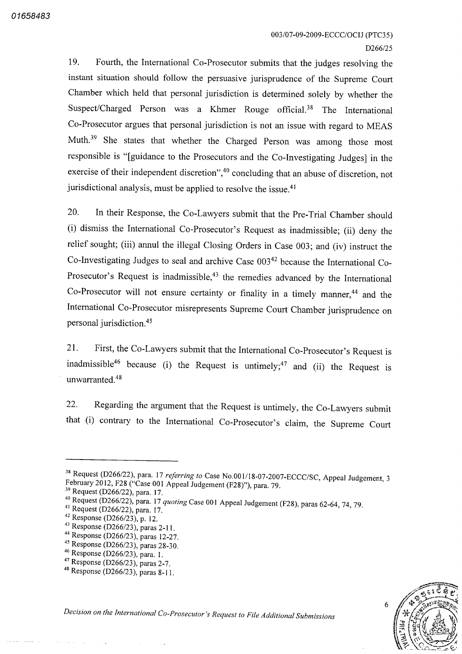19. Fourth, the International Co-Prosecutor submits that the judges resolving the instant situation should follow the persuasive jurisprudence of the Supreme Court Chamber which held that personal jurisdiction is determined solely by whether the Suspect/Charged Person was a Khmer Rouge official.<sup>38</sup> The International Co Prosecutor argues that personal jurisdiction is not an issue with regard to MEAS Muth.<sup>39</sup> She states that whether the Charged Person was among those most responsible is "[guidance to the Prosecutors and the Co-Investigating Judges] in the exercise of their independent discretion",<sup>40</sup> concluding that an abuse of discretion, not jurisdictional analysis, must be applied to resolve the issue.<sup>41</sup>

20. In their Response, the Co-Lawyers submit that the Pre-Trial Chamber should (i) dismiss the International Co-Prosecutor's Request as inadmissible; (ii) deny the relief sought; (iii) annul the illegal Closing Orders in Case 003; and (iv) instruct the Co-Investigating Judges to seal and archive Case 003<sup>42</sup> because the International Co-Prosecutor's Request is inadmissible,<sup>43</sup> the remedies advanced by the International Co-Prosecutor will not ensure certainty or finality in a timely manner,  $44$  and the International Co Prosecutor misrepresents Supreme Court Chamber jurisprudence on personal jurisdiction 45

21. First, the Co-Lawyers submit that the International Co-Prosecutor's Request is inadmissible<sup>\*</sup> because (i) the Request is untimely;<sup>47</sup> and (ii) the Request is unwarranted 48

22. Regarding the argument that the Request is untimely, the Co-Lawyers submit that (i) contrary to the International Co-Prosecutor's claim, the Supreme Court



<sup>&</sup>lt;sup>38</sup> Request (D266/22), para. 17 *referring to* Case No.001/18-07-2007-ECCC/SC, Appeal Judgement, February 2012, F28 ("Case 001 Appeal Judgement (F28)"), para. 79.

 $^{39}$  Request (D266/22), para. 17.

<sup>&</sup>lt;sup>40</sup> Request (D266/22), para. 17 quoting Case 001 Appeal Judgement (F28), paras 62-64, 74, 79.

 $41$  Request (D266/22), para. 17.

 $^{42}$  Response (D266/23), p. 12.

 $^{43}$  Response (D266/23), paras 2-11.

<sup>&</sup>lt;sup>44</sup> Response (D266/23), paras 12-27.

 $^{45}$  Response (D266/23), paras 28-30.

 $^{46}$  Response (D266/23), para.

 $^{47}$  Response (D266/23), paras

<sup>&</sup>lt;sup>48</sup> Response (D266/23), paras 8-11.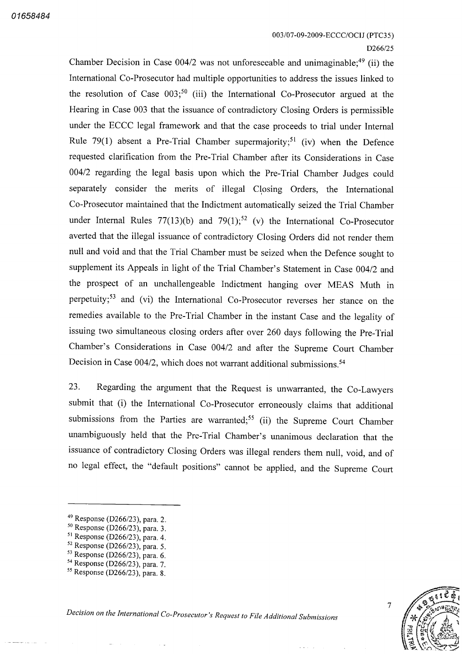Chamber Decision in Case  $004/2$  was not unforeseeable and unimaginable;<sup>49</sup> (ii) the International Co Prosecutor had multiple opportunities to address the issues linked to the resolution of Case  $003$ <sup>50</sup> (iii) the International Co-Prosecutor argued at the Hearing in Case 003 that the issuance of contradictory Closing Orders is permissible under the ECCC legal framework and that the case proceeds to trial under Internal Rule  $79(1)$  absent a Pre-Trial Chamber supermajority;<sup>51</sup> (iv) when the Defence requested clarification from the Pre Trial Chamber after its Considerations in Case 004/2 regarding the legal basis upon which the Pre-Trial Chamber Judges could separately consider the merits of illegal Closing Orders, the International Co Prosecutor maintained that the Indictment automatically seized the Trial Chamber under Internal Rules  $77(13)(b)$  and  $79(1)$ ;<sup>22</sup> (v) the International Co-Prosecutor averted that the illegal issuance of contradictory Closing Orders did not render them null and void and that the Trial Chamber must be seized when the Defence sought to supplement its Appeals in light of the Trial Chamber's Statement in Case 004/2 and the prospect of an unchallengeable Indictment hanging over MEAS Muth in perpetuity;<sup>53</sup> and (vi) the International Co-Prosecutor reverses her stance on the remedies available to the Pre Trial Chamber in the instant Case and the legality of issuing two simultaneous closing orders after over 260 days following the Pre-Trial Chamber's Considerations in Case 004/2 and after the Supreme Court Chamber Decision in Case  $004/2$ , which does not warrant additional submissions.<sup>54</sup>

23. Regarding the argument that the Request is unwarranted, the Co-Lawyers submit that (i) the International Co-Prosecutor erroneously claims that additional submissions from the Parties are warranted;<sup>55</sup> (ii) the Supreme Court Chamber unambiguously held that the Pre Trial Chamber's unanimous declaration that the issuance of contradictory Closing Orders was illegal renders them null, void, and of no legal effect, the "default positions" cannot be applied, and the Supreme Court

 $54$  Response (D266/23), para.



 $\overline{7}$ 

 $^{49}$  Response (D266/23), para.

 $^{50}$  Response (D266/23), para.

 $\frac{51}{2}$  Response (D266/23), para.

 $52$  Response (D266/23), para.

 $53$  Response (D266/23), para.

<sup>&</sup>lt;sup>55</sup> Response (D266/23), para.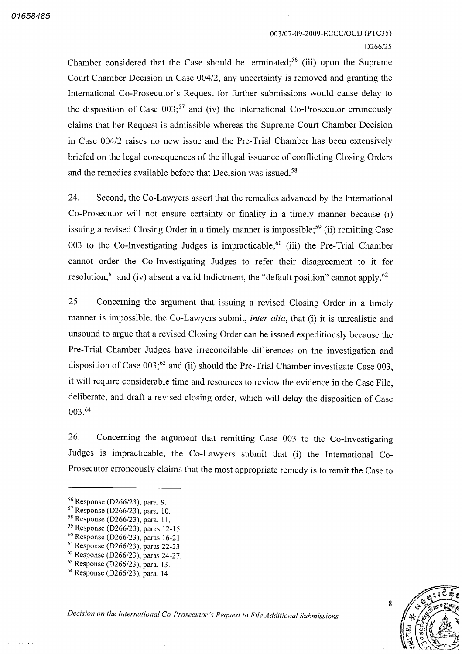#### 003/07-09-2009-ECCC/OCIJ (PTC35) D<sub>266</sub>/25

Chamber considered that the Case should be terminated;<sup>56</sup> (iii) upon the Supreme Court Chamber Decision in Case 004/2, any uncertainty is removed and granting the International Co Prosecutor's Request for further submissions would cause delay to the disposition of Case  $003$ ;<sup>57</sup> and (iv) the International Co-Prosecutor erroneously claims that her Request is admissible whereas the Supreme Court Chamber Decision in Case 004/2 raises no new issue and the Pre-Trial Chamber has been extensively briefed on the legal consequences of the illegal issuance of conflicting Closing Orders and the remedies available before that Decision was issued.<sup>58</sup>

24. Second, the Co-Lawyers assert that the remedies advanced by the International Co-Prosecutor will not ensure certainty or finality in a timely manner because (i) issuing a revised Closing Order in a timely manner is impossible;<sup>59</sup> (ii) remitting Case 003 to the Co-Investigating Judges is impracticable;<sup>60</sup> (iii) the Pre-Trial Chamber cannot order the Co-Investigating Judges to refer their disagreement to it for resolution;<sup>61</sup> and (iv) absent a valid Indictment, the "default position" cannot apply.<sup>62</sup>

25. Concerning the argument that issuing a revised Closing Order in a timely manner is impossible, the Co-Lawyers submit, *inter alia*, that (i) it is unrealistic and unsound to argue that a revised Closing Order can be issued expeditiously because the Pre-Trial Chamber Judges have irreconcilable differences on the investigation and disposition of Case  $003$ ;<sup>63</sup> and (ii) should the Pre-Trial Chamber investigate Case  $003$ it will require considerable time and resources to review the evidence in the Case File deliberate, and draft a revised closing order, which will delay the disposition of Case 003 64

26. Concerning the argument that remitting Case 003 to the Co-Investigating Judges is impracticable, the Co-Lawyers submit that (i) the International Co-Prosecutor erroneously claims that the most appropriate remedy is to remit the Case to



 $\frac{56}{12}$  Response (D266/23), para.

 $^{57}$  Response (D266/23), para. 10.

<sup>&</sup>lt;sup>58</sup> Response (D266/23), para. 11.

 $^{59}$  Response (D266/23), paras 12-15.

 $^{60}$  Response (D266/23), paras 16-21.

 $^{61}$  Response (D266/23), paras 22-23.

 $^{62}$  Response (D266/23), paras 24-27.

 $^{63}_{62}$  Response (D266/23), para. 13.

<sup>&</sup>lt;sup>64</sup> Response (D266/23), para. 14.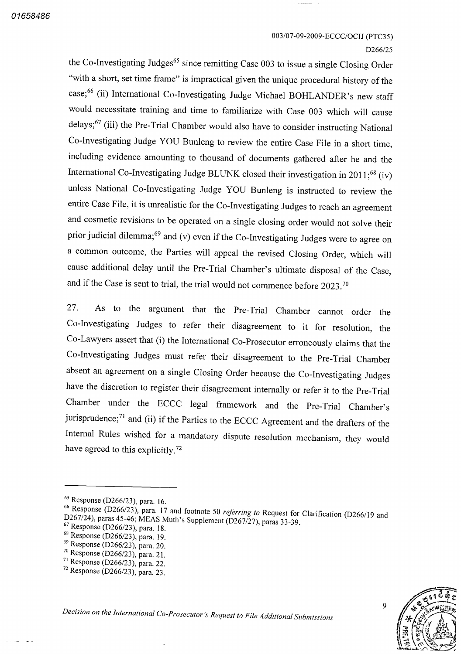#### 003/07-09-2009-ECCC/OCIJ (PTC35)

#### D266/25

the Co-Investigating Judges<sup>65</sup> since remitting Case 003 to issue a single Closing Order "with a short, set time frame" is impractical given the unique procedural history of the case;<sup>66</sup> (ii) International Co-Investigating Judge Michael BOHLANDER's new staff would necessitate training and time to familiarize with Case <sup>003</sup> which will cause delays; $67$  (iii) the Pre-Trial Chamber would also have to consider instructing National Co-Investigating Judge YOU Bunleng to review the entire Case File in a short time, including evidence amounting to thousand of documents gathered after he and the International Co-Investigating Judge BLUNK closed their investigation in 2011; $^{68}$  (iv) unless National Co-Investigating Judge YOU Bunleng is instructed to review the entire Case File, it is unrealistic for the Co-Investigating Judges to reach an agreement and cosmetic revisions to be operated on a single closing order would not solve their prior judicial dilemma;<sup>69</sup> and (v) even if the Co-Investigating Judges were to agree on common outcome, the Parties will appeal the revised Closing Order, which will cause additional delay until the Pre-Trial Chamber's ultimate disposal of the Case and if the Case is sent to trial, the trial would not commence before  $2023.^{70}$ 

<sup>27</sup> As to the argument that the Pre Trial Chamber cannot order the Co-Investigating Judges to refer their disagreement to it for resolution, the Co-Lawyers assert that (i) the International Co-Prosecutor erroneously claims that the Co-Investigating Judges must refer their disagreement to the Pre-Trial Chamber absent an agreement on a single Closing Order because the Co-Investigating Judges have the discretion to register their disagreement internally or refer it to the Pre-Trial Chamber under the ECCC legal framework and the Pre Trial Chamber's jurisprudence;<sup>71</sup> and (ii) if the Parties to the ECCC Agreement and the drafters of the Internal Rules wished for a mandatory dispute resolution mechanism, they would have agreed to this explicitly.<sup>72</sup>



 $^{65}$  Response (D266/23), para. 16.

 $D267/24$ ), paras 45-46; MEAS Muth's Supplement (D267/27), paras 33-39, D2 5/23), para.<br>6/23), para<br>5-46; MEA  $17$  and footnote 50 *referring to* Request for Clarification (D266/19 and  $67$  Response (D266/23), para. 18.

 $^{68}$  Response (D266/23), para. 19.

 $^{69}$  Response (D266/23), para. 20.

 $^{70}$  Response (D266/23), para. 21.

 $^{71}$  Response (D266/23), para. 22.

 $72$  Response (D266/23), para. 23.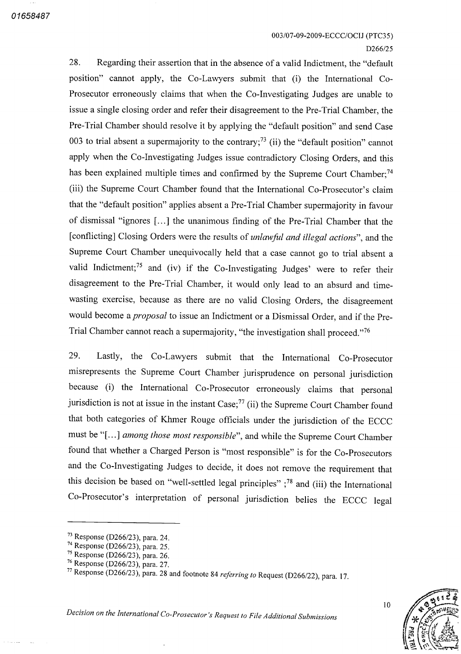Regarding their assertion that in the absence of a valid Indictment, the "default" position" cannot apply, the Co-Lawyers submit that (i) the International Co-Prosecutor erroneously claims that when the Co-Investigating Judges are unable to issue a single closing order and refer their disagreement to the Pre-Trial Chamber, the Pre Trial Chamber should resolve it by applying the "default position" and send Case 003 to trial absent a supermajority to the contrary;<sup>73</sup> (ii) the "default position" cannot apply when the Co-Investigating Judges issue contradictory Closing Orders, and this has been explained multiple times and confirmed by the Supreme Court Chamber;<sup>74</sup> (iii) the Supreme Court Chamber found that the International Co-Prosecutor's claim that the "default position" applies absent a Pre-Trial Chamber supermajority in favour of dismissal "ignores [...] the unanimous finding of the Pre-Trial Chamber that the [conflicting] Closing Orders were the results of unlawful and illegal actions", and the Supreme Court Chamber unequivocally held that a case cannot go to trial absent a valid Indictment;<sup>75</sup> and (iv) if the Co-Investigating Judges' were to refer their disagreement to the Pre-Trial Chamber, it would only lead to an absurd and timewasting exercise, because as there are no valid Closing Orders, the disagreement would become a *proposal* to issue an Indictment or a Dismissal Order, and if the Pre-Trial Chamber cannot reach a supermajority, "the investigation shall proceed."<sup>76</sup> 28

29. Lastly, the Co-Lawyers submit that the International Co-Prosecutor misrepresents the Supreme Court Chamber jurisprudence on personal jurisdiction because (i) the International Co-Prosecutor erroneously claims that personal jurisdiction is not at issue in the instant  $Case;^{77}$  (ii) the Supreme Court Chamber found that both categories of Khmer Rouge officials under the jurisdiction of the ECCC must be "[...] among those most responsible", and while the Supreme Court Chamber found that whether a Charged Person is "most responsible" is for the Co-Prosecutors and the Co-Investigating Judges to decide, it does not remove the requirement that this decision be based on "well-settled legal principles"  $;^{78}$  and (iii) the International Co Prosecutor's interpretation of personal jurisdiction belies the ECCC legal



10

<sup>&</sup>lt;sup>73</sup> Response (D266/23), para. 24.

<sup>&</sup>lt;sup>74</sup> Response (D266/23), para. 25.

<sup>&</sup>lt;sup>75</sup> Response (D266/23), para. 26.

<sup>&</sup>lt;sup>76</sup> Response (D266/23), para. 27.

<sup>&</sup>lt;sup>77</sup> Response  $(D266/23)$ , para. 28 and footnote 84 *referring to* Request (D266/22), para. 17.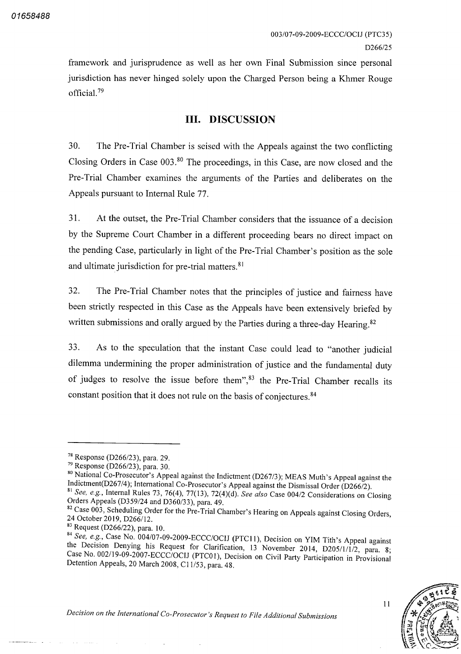framework and jurisprudence as well as her own Final Submission since personal jurisdiction has never hinged solely upon the Charged Person being a Khmer Rouge official.<sup>79</sup>

### III. DISCUSSION

The Pre-Trial Chamber is seised with the Appeals against the two conflicting Closing Orders in Case 003.<sup>80</sup> The proceedings, in this Case, are now closed and the Pre-Trial Chamber examines the arguments of the Parties and deliberates on the Appeals pursuant to Internal Rule 77 30

At the outset, the Pre-Trial Chamber considers that the issuance of a decision by the Supreme Court Chamber in a different proceeding bears no direct impact on the pending Case, particularly in light of the Pre-Trial Chamber's position as the sole and ultimate jurisdiction for pre trial matters 81 31

The Pre-Trial Chamber notes that the principles of justice and fairness have been strictly respected in this Case as the Appeals have been extensively briefed by written submissions and orally argued by the Parties during a three-day Hearing.<sup>82</sup> 32

<sup>33</sup> As to the speculation that the instant Case could lead to "another judicial dilemma undermining the proper administration of justice and the fundamental duty of judges to resolve the issue before them<sup>", 83</sup> the Pre-Trial Chamber recalls its constant position that it does not rule on the basis of conjectures 84

<sup>80</sup> National Co-Prosecutor's Appeal against the Indictment (D267/3); MEAS Muth's Appeal against the Indictment (D267/4); International Co-Prosecutor's Appeal against the Dismissal Order (D266/2).

 $\frac{83}{10}$  Request (D266/22), para. 10.

<sup>&</sup>lt;sup>84</sup> See, e.g., Case No. 004/07-09-2009-ECCC/OCIJ (PTC11), Decision on YIM Tith's Appeal against the Decision Denying his Request for Clarification, 13 November 2014, D205/1/1/2, para. 8; ne Beelsion Bellying ins Request for Clarification, 13 November 2014, D205/1/1/2, para.<br>Case No. 002/19-09-2007-ECCC/OCIJ (PTC01), Decision on Civil Party Participation in Provisic Detention Appeals, 20 March 2008, C11/53, para. 48. on Civil Party Participation in Provisional



11

 $7^8$  Response (D266/23), para. 29.

 $^{79}$  Response (D266/23), para. 30.

 $s_1$  See, e.g., Internal Rules 73, 76(4), 77(13), 72(4)(d). See also Case 004/2 Considerations on Closing Orders Appeals (D359/24 and D360/33), para. 49.

<sup>24</sup> October 2019, D266/12. der for the Pre-Trial Chamber's Hearing on Appeals against Closing Orders,